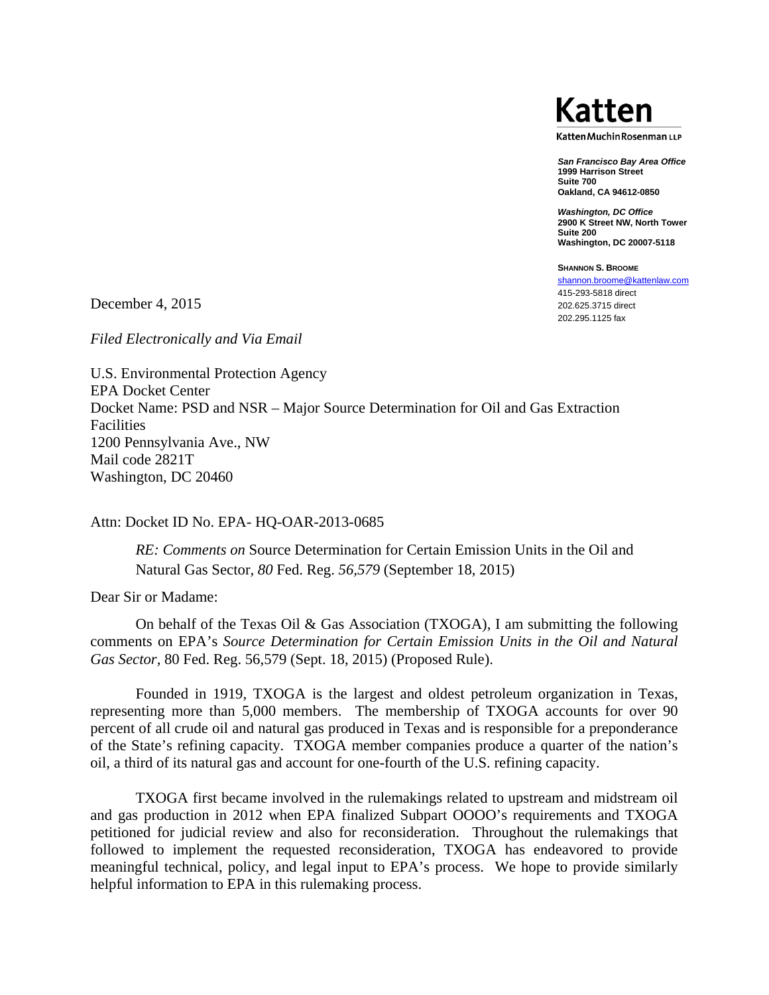

Katten Muchin Rosenman LLP

*San Francisco Bay Area Office*  **1999 Harrison Street Suite 700 Oakland, CA 94612-0850** 

*Washington, DC Office*  **2900 K Street NW, North Tower Suite 200 Washington, DC 20007-5118** 

**SHANNON S. BROOME** shannon.broome@kattenlaw.com 415-293-5818 direct 202.625.3715 direct 202.295.1125 fax

December 4, 2015

*Filed Electronically and Via Email* 

U.S. Environmental Protection Agency EPA Docket Center Docket Name: PSD and NSR – Major Source Determination for Oil and Gas Extraction Facilities 1200 Pennsylvania Ave., NW Mail code 2821T Washington, DC 20460

Attn: Docket ID No. EPA- HQ-OAR-2013-0685

*RE: Comments on* Source Determination for Certain Emission Units in the Oil and Natural Gas Sector*, 80* Fed. Reg. *56,579* (September 18, 2015)

Dear Sir or Madame:

 On behalf of the Texas Oil & Gas Association (TXOGA), I am submitting the following comments on EPA's *Source Determination for Certain Emission Units in the Oil and Natural Gas Sector,* 80 Fed. Reg. 56,579 (Sept. 18, 2015) (Proposed Rule).

 Founded in 1919, TXOGA is the largest and oldest petroleum organization in Texas, representing more than 5,000 members. The membership of TXOGA accounts for over 90 percent of all crude oil and natural gas produced in Texas and is responsible for a preponderance of the State's refining capacity. TXOGA member companies produce a quarter of the nation's oil, a third of its natural gas and account for one-fourth of the U.S. refining capacity.

TXOGA first became involved in the rulemakings related to upstream and midstream oil and gas production in 2012 when EPA finalized Subpart OOOO's requirements and TXOGA petitioned for judicial review and also for reconsideration. Throughout the rulemakings that followed to implement the requested reconsideration, TXOGA has endeavored to provide meaningful technical, policy, and legal input to EPA's process. We hope to provide similarly helpful information to EPA in this rulemaking process.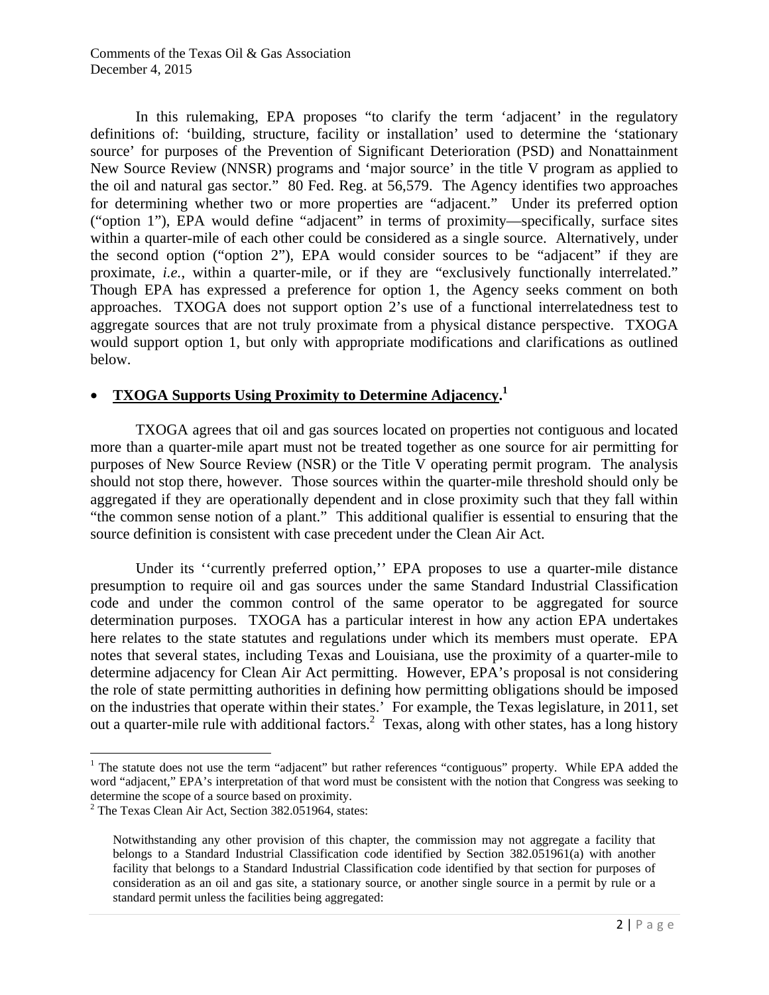In this rulemaking, EPA proposes "to clarify the term 'adjacent' in the regulatory definitions of: 'building, structure, facility or installation' used to determine the 'stationary source' for purposes of the Prevention of Significant Deterioration (PSD) and Nonattainment New Source Review (NNSR) programs and 'major source' in the title V program as applied to the oil and natural gas sector." 80 Fed. Reg. at 56,579. The Agency identifies two approaches for determining whether two or more properties are "adjacent." Under its preferred option ("option 1"), EPA would define "adjacent" in terms of proximity—specifically, surface sites within a quarter-mile of each other could be considered as a single source. Alternatively, under the second option ("option 2"), EPA would consider sources to be "adjacent" if they are proximate, *i.e.*, within a quarter-mile, or if they are "exclusively functionally interrelated." Though EPA has expressed a preference for option 1, the Agency seeks comment on both approaches. TXOGA does not support option 2's use of a functional interrelatedness test to aggregate sources that are not truly proximate from a physical distance perspective. TXOGA would support option 1, but only with appropriate modifications and clarifications as outlined below.

## • **TXOGA Supports Using Proximity to Determine Adjacency.1**

TXOGA agrees that oil and gas sources located on properties not contiguous and located more than a quarter-mile apart must not be treated together as one source for air permitting for purposes of New Source Review (NSR) or the Title V operating permit program. The analysis should not stop there, however. Those sources within the quarter-mile threshold should only be aggregated if they are operationally dependent and in close proximity such that they fall within "the common sense notion of a plant." This additional qualifier is essential to ensuring that the source definition is consistent with case precedent under the Clean Air Act.

Under its ''currently preferred option,'' EPA proposes to use a quarter-mile distance presumption to require oil and gas sources under the same Standard Industrial Classification code and under the common control of the same operator to be aggregated for source determination purposes. TXOGA has a particular interest in how any action EPA undertakes here relates to the state statutes and regulations under which its members must operate. EPA notes that several states, including Texas and Louisiana, use the proximity of a quarter-mile to determine adjacency for Clean Air Act permitting. However, EPA's proposal is not considering the role of state permitting authorities in defining how permitting obligations should be imposed on the industries that operate within their states.' For example, the Texas legislature, in 2011, set out a quarter-mile rule with additional factors.<sup>2</sup> Texas, along with other states, has a long history

 $\overline{\phantom{a}}$ 

<sup>&</sup>lt;sup>1</sup> The statute does not use the term "adjacent" but rather references "contiguous" property. While EPA added the word "adjacent," EPA's interpretation of that word must be consistent with the notion that Congress was seeking to determine the scope of a source based on proximity.

<sup>&</sup>lt;sup>2</sup> The Texas Clean Air Act, Section 382.051964, states:

Notwithstanding any other provision of this chapter, the commission may not aggregate a facility that belongs to a Standard Industrial Classification code identified by Section 382.051961(a) with another facility that belongs to a Standard Industrial Classification code identified by that section for purposes of consideration as an oil and gas site, a stationary source, or another single source in a permit by rule or a standard permit unless the facilities being aggregated: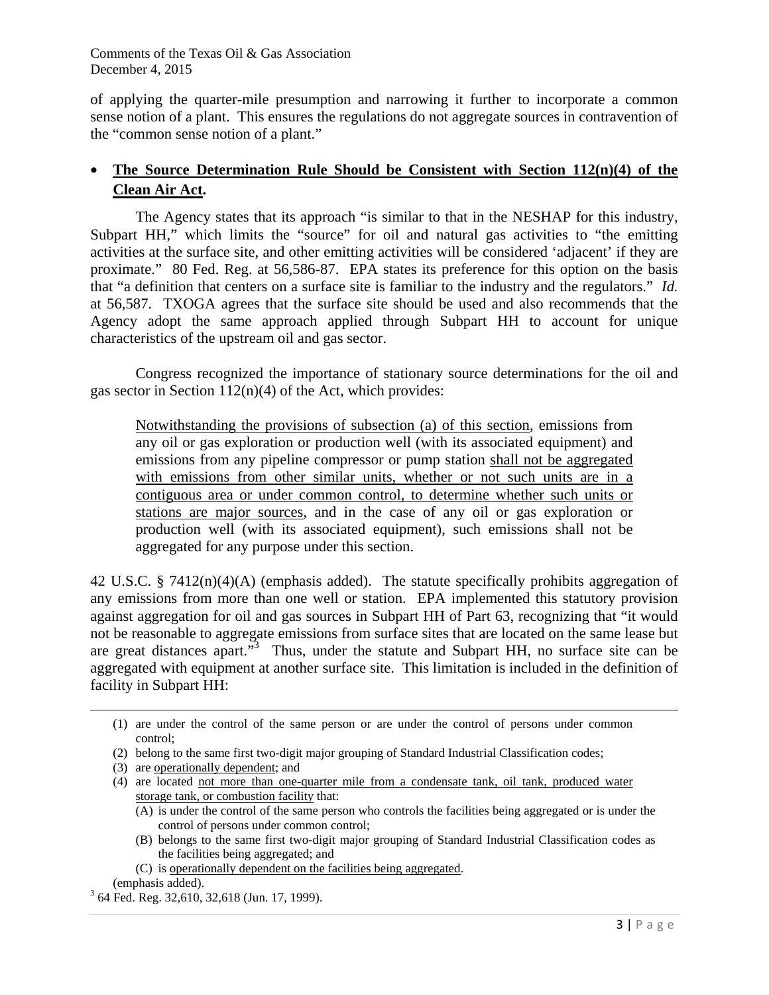of applying the quarter-mile presumption and narrowing it further to incorporate a common sense notion of a plant. This ensures the regulations do not aggregate sources in contravention of the "common sense notion of a plant."

# • **The Source Determination Rule Should be Consistent with Section 112(n)(4) of the Clean Air Act.**

The Agency states that its approach "is similar to that in the NESHAP for this industry, Subpart HH," which limits the "source" for oil and natural gas activities to "the emitting activities at the surface site, and other emitting activities will be considered 'adjacent' if they are proximate." 80 Fed. Reg. at 56,586-87. EPA states its preference for this option on the basis that "a definition that centers on a surface site is familiar to the industry and the regulators." *Id.* at 56,587. TXOGA agrees that the surface site should be used and also recommends that the Agency adopt the same approach applied through Subpart HH to account for unique characteristics of the upstream oil and gas sector.

Congress recognized the importance of stationary source determinations for the oil and gas sector in Section  $112(n)(4)$  of the Act, which provides:

Notwithstanding the provisions of subsection (a) of this section, emissions from any oil or gas exploration or production well (with its associated equipment) and emissions from any pipeline compressor or pump station shall not be aggregated with emissions from other similar units, whether or not such units are in a contiguous area or under common control, to determine whether such units or stations are major sources, and in the case of any oil or gas exploration or production well (with its associated equipment), such emissions shall not be aggregated for any purpose under this section.

42 U.S.C. § 7412 $(n)(4)(A)$  (emphasis added). The statute specifically prohibits aggregation of any emissions from more than one well or station. EPA implemented this statutory provision against aggregation for oil and gas sources in Subpart HH of Part 63, recognizing that "it would not be reasonable to aggregate emissions from surface sites that are located on the same lease but are great distances apart."<sup>3</sup> Thus, under the statute and Subpart HH, no surface site can be aggregated with equipment at another surface site. This limitation is included in the definition of facility in Subpart HH:

(C) is operationally dependent on the facilities being aggregated.

 $\overline{\phantom{a}}$ 

<sup>(1)</sup> are under the control of the same person or are under the control of persons under common control;

<sup>(2)</sup> belong to the same first two-digit major grouping of Standard Industrial Classification codes;

<sup>(3)</sup> are operationally dependent; and

<sup>(4)</sup> are located not more than one-quarter mile from a condensate tank, oil tank, produced water storage tank, or combustion facility that:

<sup>(</sup>A) is under the control of the same person who controls the facilities being aggregated or is under the control of persons under common control;

<sup>(</sup>B) belongs to the same first two-digit major grouping of Standard Industrial Classification codes as the facilities being aggregated; and

<sup>(</sup>emphasis added).

 <sup>64</sup> Fed. Reg. 32,610, 32,618 (Jun. 17, 1999).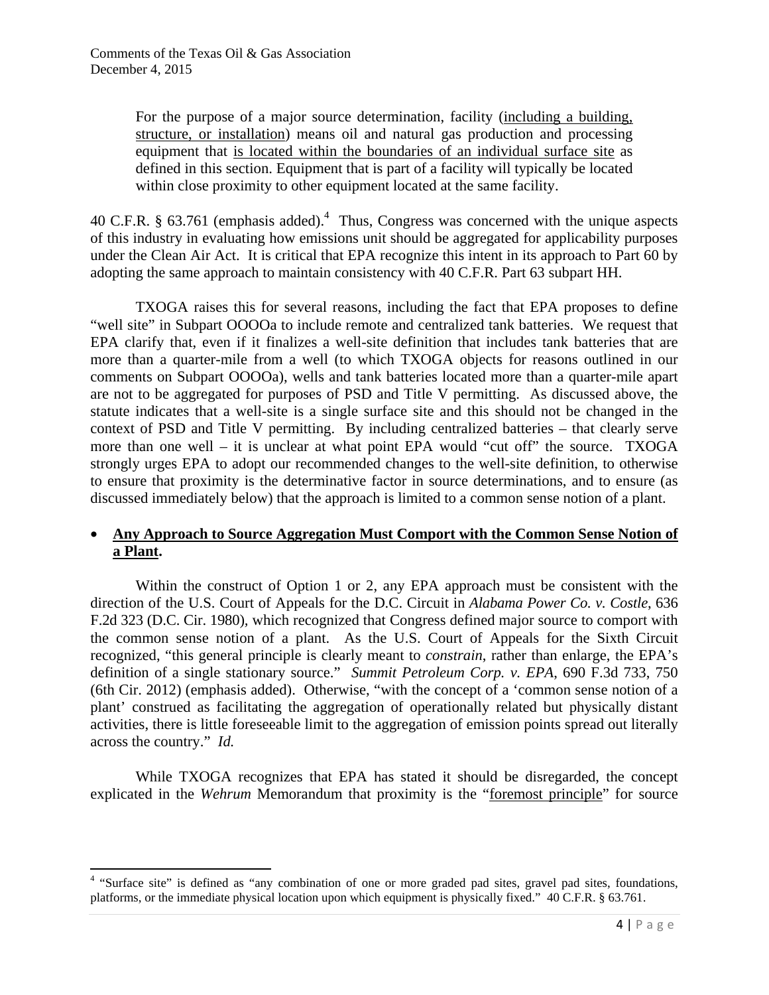$\overline{a}$ 

For the purpose of a major source determination, facility (including a building, structure, or installation) means oil and natural gas production and processing equipment that is located within the boundaries of an individual surface site as defined in this section. Equipment that is part of a facility will typically be located within close proximity to other equipment located at the same facility.

40 C.F.R. § 63.761 (emphasis added).<sup>4</sup> Thus, Congress was concerned with the unique aspects of this industry in evaluating how emissions unit should be aggregated for applicability purposes under the Clean Air Act. It is critical that EPA recognize this intent in its approach to Part 60 by adopting the same approach to maintain consistency with 40 C.F.R. Part 63 subpart HH.

 TXOGA raises this for several reasons, including the fact that EPA proposes to define "well site" in Subpart OOOOa to include remote and centralized tank batteries. We request that EPA clarify that, even if it finalizes a well-site definition that includes tank batteries that are more than a quarter-mile from a well (to which TXOGA objects for reasons outlined in our comments on Subpart OOOOa), wells and tank batteries located more than a quarter-mile apart are not to be aggregated for purposes of PSD and Title V permitting. As discussed above, the statute indicates that a well-site is a single surface site and this should not be changed in the context of PSD and Title V permitting. By including centralized batteries – that clearly serve more than one well – it is unclear at what point EPA would "cut off" the source. TXOGA strongly urges EPA to adopt our recommended changes to the well-site definition, to otherwise to ensure that proximity is the determinative factor in source determinations, and to ensure (as discussed immediately below) that the approach is limited to a common sense notion of a plant.

### • **Any Approach to Source Aggregation Must Comport with the Common Sense Notion of a Plant.**

Within the construct of Option 1 or 2, any EPA approach must be consistent with the direction of the U.S. Court of Appeals for the D.C. Circuit in *Alabama Power Co. v. Costle*, 636 F.2d 323 (D.C. Cir. 1980)*,* which recognized that Congress defined major source to comport with the common sense notion of a plant. As the U.S. Court of Appeals for the Sixth Circuit recognized, "this general principle is clearly meant to *constrain*, rather than enlarge, the EPA's definition of a single stationary source." *Summit Petroleum Corp. v. EPA*, 690 F.3d 733, 750 (6th Cir. 2012) (emphasis added). Otherwise, "with the concept of a 'common sense notion of a plant' construed as facilitating the aggregation of operationally related but physically distant activities, there is little foreseeable limit to the aggregation of emission points spread out literally across the country." *Id.*

 While TXOGA recognizes that EPA has stated it should be disregarded, the concept explicated in the *Wehrum* Memorandum that proximity is the "foremost principle" for source

<sup>&</sup>lt;sup>4</sup> "Surface site" is defined as "any combination of one or more graded pad sites, gravel pad sites, foundations, platforms, or the immediate physical location upon which equipment is physically fixed." 40 C.F.R. § 63.761.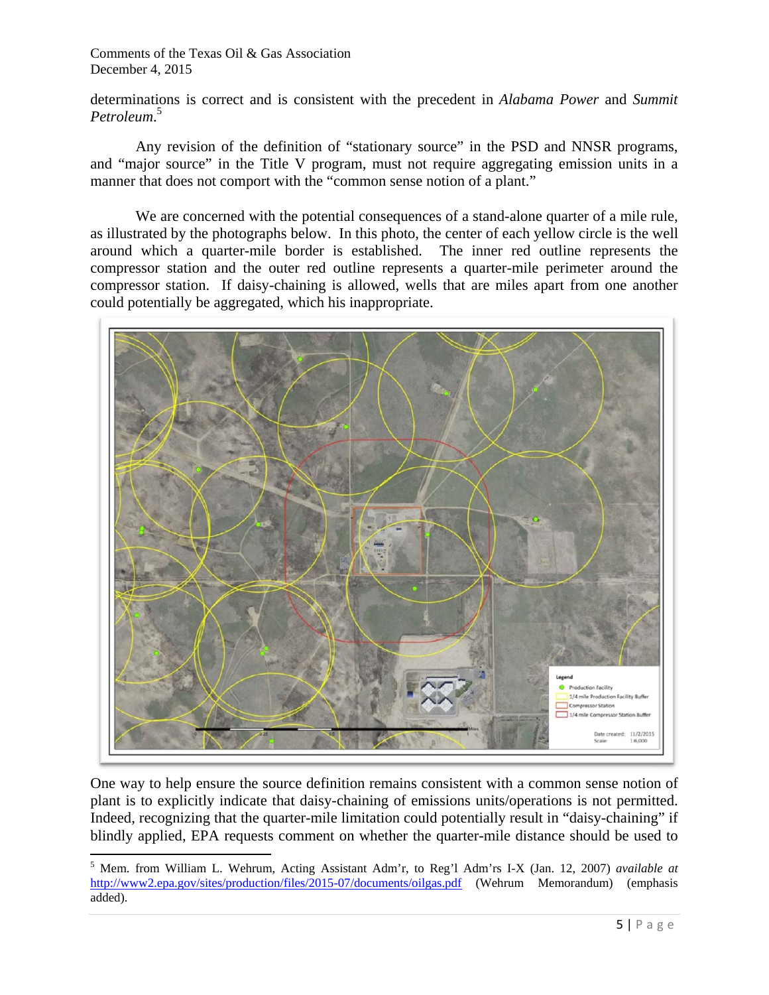determinations is correct and is consistent with the precedent in *Alabama Power* and *Summit Petroleum*. 5

Any revision of the definition of "stationary source" in the PSD and NNSR programs, and "major source" in the Title V program, must not require aggregating emission units in a manner that does not comport with the "common sense notion of a plant."

We are concerned with the potential consequences of a stand-alone quarter of a mile rule, as illustrated by the photographs below. In this photo, the center of each yellow circle is the well around which a quarter-mile border is established. The inner red outline represents the compressor station and the outer red outline represents a quarter-mile perimeter around the compressor station. If daisy-chaining is allowed, wells that are miles apart from one another could potentially be aggregated, which his inappropriate.



One way to help ensure the source definition remains consistent with a common sense notion of plant is to explicitly indicate that daisy-chaining of emissions units/operations is not permitted. Indeed, recognizing that the quarter-mile limitation could potentially result in "daisy-chaining" if blindly applied, EPA requests comment on whether the quarter-mile distance should be used to

 5 Mem. from William L. Wehrum, Acting Assistant Adm'r, to Reg'l Adm'rs I-X (Jan. 12, 2007) *available at* http://www2.epa.gov/sites/production/files/2015-07/documents/oilgas.pdf (Wehrum Memorandum) (emphasis added).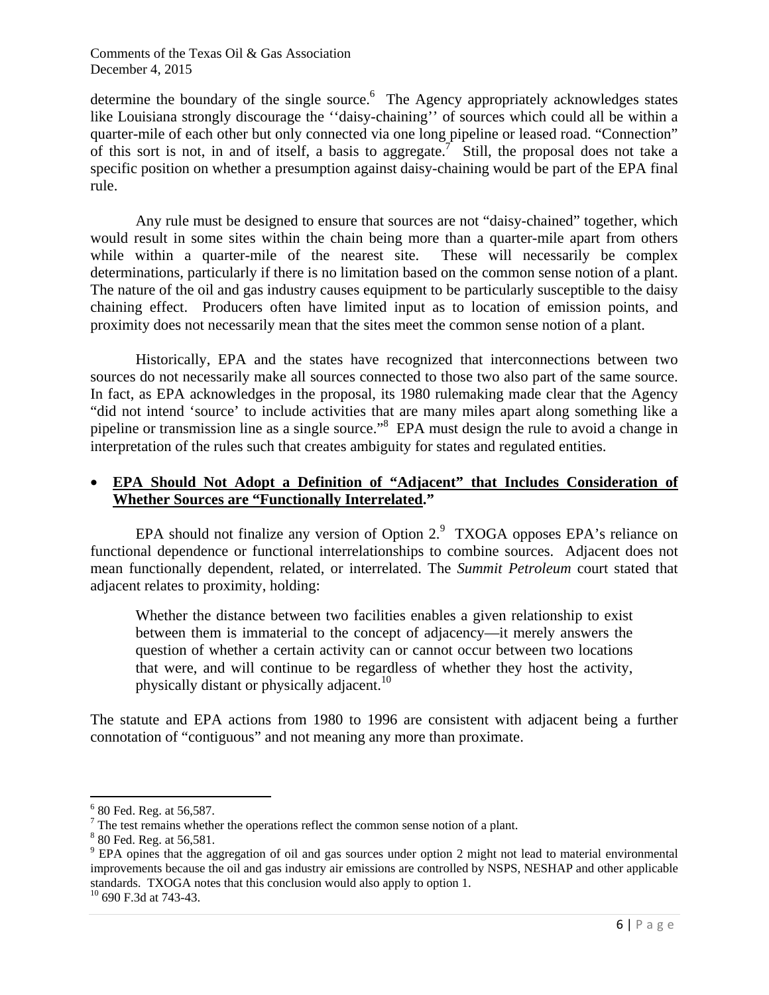determine the boundary of the single source.<sup>6</sup> The Agency appropriately acknowledges states like Louisiana strongly discourage the ''daisy-chaining'' of sources which could all be within a quarter-mile of each other but only connected via one long pipeline or leased road. "Connection" of this sort is not, in and of itself, a basis to aggregate.<sup>7</sup> Still, the proposal does not take a specific position on whether a presumption against daisy-chaining would be part of the EPA final rule.

Any rule must be designed to ensure that sources are not "daisy-chained" together, which would result in some sites within the chain being more than a quarter-mile apart from others while within a quarter-mile of the nearest site. These will necessarily be complex determinations, particularly if there is no limitation based on the common sense notion of a plant. The nature of the oil and gas industry causes equipment to be particularly susceptible to the daisy chaining effect. Producers often have limited input as to location of emission points, and proximity does not necessarily mean that the sites meet the common sense notion of a plant.

Historically, EPA and the states have recognized that interconnections between two sources do not necessarily make all sources connected to those two also part of the same source. In fact, as EPA acknowledges in the proposal, its 1980 rulemaking made clear that the Agency "did not intend 'source' to include activities that are many miles apart along something like a pipeline or transmission line as a single source."8 EPA must design the rule to avoid a change in interpretation of the rules such that creates ambiguity for states and regulated entities.

### • **EPA Should Not Adopt a Definition of "Adjacent" that Includes Consideration of Whether Sources are "Functionally Interrelated."**

EPA should not finalize any version of Option  $2.9$  TXOGA opposes EPA's reliance on functional dependence or functional interrelationships to combine sources. Adjacent does not mean functionally dependent, related, or interrelated. The *Summit Petroleum* court stated that adjacent relates to proximity, holding:

Whether the distance between two facilities enables a given relationship to exist between them is immaterial to the concept of adjacency—it merely answers the question of whether a certain activity can or cannot occur between two locations that were, and will continue to be regardless of whether they host the activity, physically distant or physically adjacent.<sup>10</sup>

The statute and EPA actions from 1980 to 1996 are consistent with adjacent being a further connotation of "contiguous" and not meaning any more than proximate.

 $\overline{\phantom{a}}$ 

<sup>&</sup>lt;sup>6</sup> 80 Fed. Reg. at 56,587.

The test remains whether the operations reflect the common sense notion of a plant.<br><sup>8</sup> 80 Eed, Beg, et 56.581

<sup>&</sup>lt;sup>8</sup> 80 Fed. Reg. at 56,581.

<sup>&</sup>lt;sup>9</sup> EPA opines that the aggregation of oil and gas sources under option 2 might not lead to material environmental improvements because the oil and gas industry air emissions are controlled by NSPS, NESHAP and other applicable standards. TXOGA notes that this conclusion would also apply to option 1. 10 690 F.3d at 743-43.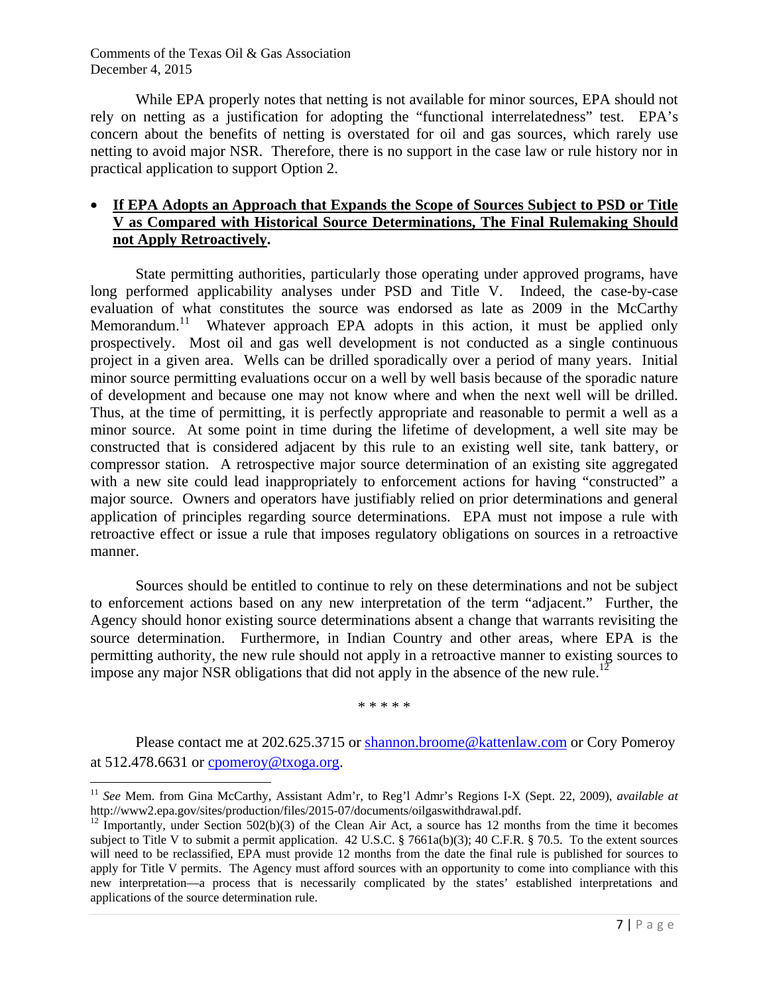$\overline{a}$ 

While EPA properly notes that netting is not available for minor sources, EPA should not rely on netting as a justification for adopting the "functional interrelatedness" test. EPA's concern about the benefits of netting is overstated for oil and gas sources, which rarely use netting to avoid major NSR. Therefore, there is no support in the case law or rule history nor in practical application to support Option 2.

## • **If EPA Adopts an Approach that Expands the Scope of Sources Subject to PSD or Title V as Compared with Historical Source Determinations, The Final Rulemaking Should not Apply Retroactively.**

State permitting authorities, particularly those operating under approved programs, have long performed applicability analyses under PSD and Title V. Indeed, the case-by-case evaluation of what constitutes the source was endorsed as late as 2009 in the McCarthy Memorandum.<sup>11</sup> Whatever approach EPA adopts in this action, it must be applied only prospectively. Most oil and gas well development is not conducted as a single continuous project in a given area. Wells can be drilled sporadically over a period of many years. Initial minor source permitting evaluations occur on a well by well basis because of the sporadic nature of development and because one may not know where and when the next well will be drilled. Thus, at the time of permitting, it is perfectly appropriate and reasonable to permit a well as a minor source. At some point in time during the lifetime of development, a well site may be constructed that is considered adjacent by this rule to an existing well site, tank battery, or compressor station. A retrospective major source determination of an existing site aggregated with a new site could lead inappropriately to enforcement actions for having "constructed" a major source. Owners and operators have justifiably relied on prior determinations and general application of principles regarding source determinations. EPA must not impose a rule with retroactive effect or issue a rule that imposes regulatory obligations on sources in a retroactive manner.

Sources should be entitled to continue to rely on these determinations and not be subject to enforcement actions based on any new interpretation of the term "adjacent." Further, the Agency should honor existing source determinations absent a change that warrants revisiting the source determination. Furthermore, in Indian Country and other areas, where EPA is the permitting authority, the new rule should not apply in a retroactive manner to existing sources to impose any major NSR obligations that did not apply in the absence of the new rule.<sup>12</sup>

\* \* \* \* \*

Please contact me at 202.625.3715 or shannon.broome@kattenlaw.com or Cory Pomeroy at  $512.478.6631$  or cpomeroy@txoga.org.

<sup>&</sup>lt;sup>11</sup> *See* Mem. from Gina McCarthy, Assistant Adm'r, to Reg'l Admr's Regions I-X (Sept. 22, 2009), *available at* http://www2.epa.gov/sites/production/files/2015-07/documents/oilgaswithdrawal.pdf.

<sup>&</sup>lt;sup>12</sup> Importantly, under Section 502(b)(3) of the Clean Air Act, a source has 12 months from the time it becomes subject to Title V to submit a permit application. 42 U.S.C. § 7661a(b)(3); 40 C.F.R. § 70.5. To the extent sources will need to be reclassified, EPA must provide 12 months from the date the final rule is published for sources to apply for Title V permits. The Agency must afford sources with an opportunity to come into compliance with this new interpretation—a process that is necessarily complicated by the states' established interpretations and applications of the source determination rule.